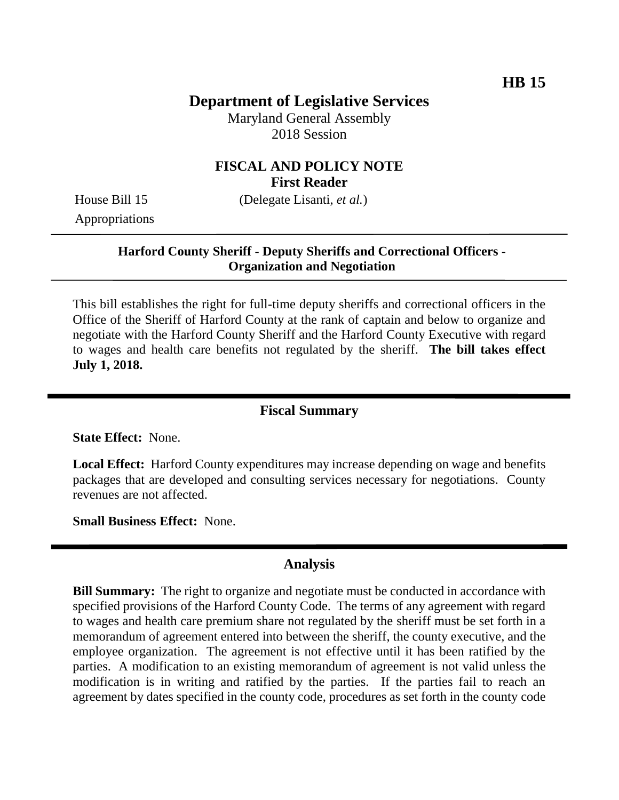# **Department of Legislative Services**

Maryland General Assembly 2018 Session

## **FISCAL AND POLICY NOTE First Reader**

House Bill 15 (Delegate Lisanti, *et al.*)

Appropriations

### **Harford County Sheriff - Deputy Sheriffs and Correctional Officers - Organization and Negotiation**

This bill establishes the right for full-time deputy sheriffs and correctional officers in the Office of the Sheriff of Harford County at the rank of captain and below to organize and negotiate with the Harford County Sheriff and the Harford County Executive with regard to wages and health care benefits not regulated by the sheriff. **The bill takes effect July 1, 2018.** 

#### **Fiscal Summary**

**State Effect:** None.

**Local Effect:** Harford County expenditures may increase depending on wage and benefits packages that are developed and consulting services necessary for negotiations. County revenues are not affected.

**Small Business Effect:** None.

#### **Analysis**

**Bill Summary:** The right to organize and negotiate must be conducted in accordance with specified provisions of the Harford County Code. The terms of any agreement with regard to wages and health care premium share not regulated by the sheriff must be set forth in a memorandum of agreement entered into between the sheriff, the county executive, and the employee organization. The agreement is not effective until it has been ratified by the parties. A modification to an existing memorandum of agreement is not valid unless the modification is in writing and ratified by the parties. If the parties fail to reach an agreement by dates specified in the county code, procedures as set forth in the county code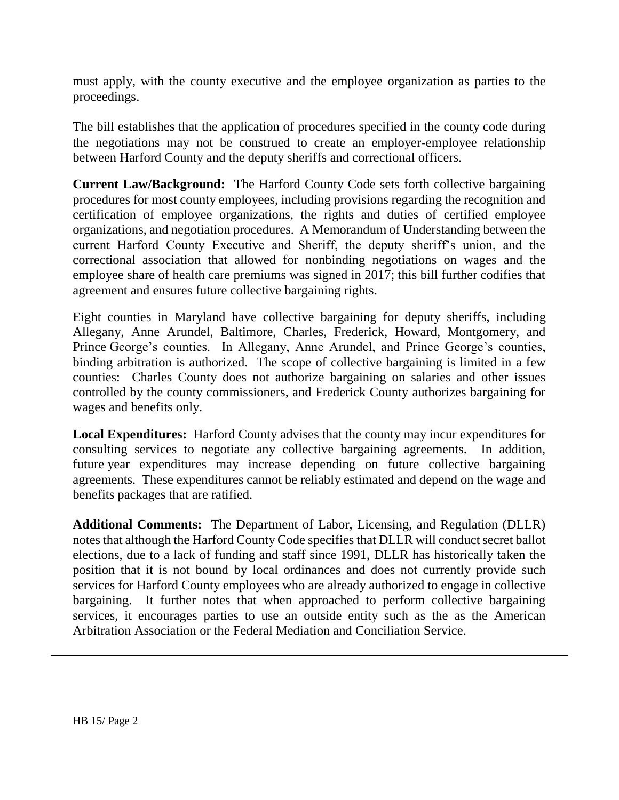must apply, with the county executive and the employee organization as parties to the proceedings.

The bill establishes that the application of procedures specified in the county code during the negotiations may not be construed to create an employer-employee relationship between Harford County and the deputy sheriffs and correctional officers.

**Current Law/Background:** The Harford County Code sets forth collective bargaining procedures for most county employees, including provisions regarding the recognition and certification of employee organizations, the rights and duties of certified employee organizations, and negotiation procedures. A Memorandum of Understanding between the current Harford County Executive and Sheriff, the deputy sheriff's union, and the correctional association that allowed for nonbinding negotiations on wages and the employee share of health care premiums was signed in 2017; this bill further codifies that agreement and ensures future collective bargaining rights.

Eight counties in Maryland have collective bargaining for deputy sheriffs, including Allegany, Anne Arundel, Baltimore, Charles, Frederick, Howard, Montgomery, and Prince George's counties. In Allegany, Anne Arundel, and Prince George's counties, binding arbitration is authorized. The scope of collective bargaining is limited in a few counties: Charles County does not authorize bargaining on salaries and other issues controlled by the county commissioners, and Frederick County authorizes bargaining for wages and benefits only.

**Local Expenditures:** Harford County advises that the county may incur expenditures for consulting services to negotiate any collective bargaining agreements. In addition, future year expenditures may increase depending on future collective bargaining agreements. These expenditures cannot be reliably estimated and depend on the wage and benefits packages that are ratified.

**Additional Comments:** The Department of Labor, Licensing, and Regulation (DLLR) notes that although the Harford County Code specifies that DLLR will conduct secret ballot elections, due to a lack of funding and staff since 1991, DLLR has historically taken the position that it is not bound by local ordinances and does not currently provide such services for Harford County employees who are already authorized to engage in collective bargaining. It further notes that when approached to perform collective bargaining services, it encourages parties to use an outside entity such as the as the American Arbitration Association or the Federal Mediation and Conciliation Service.